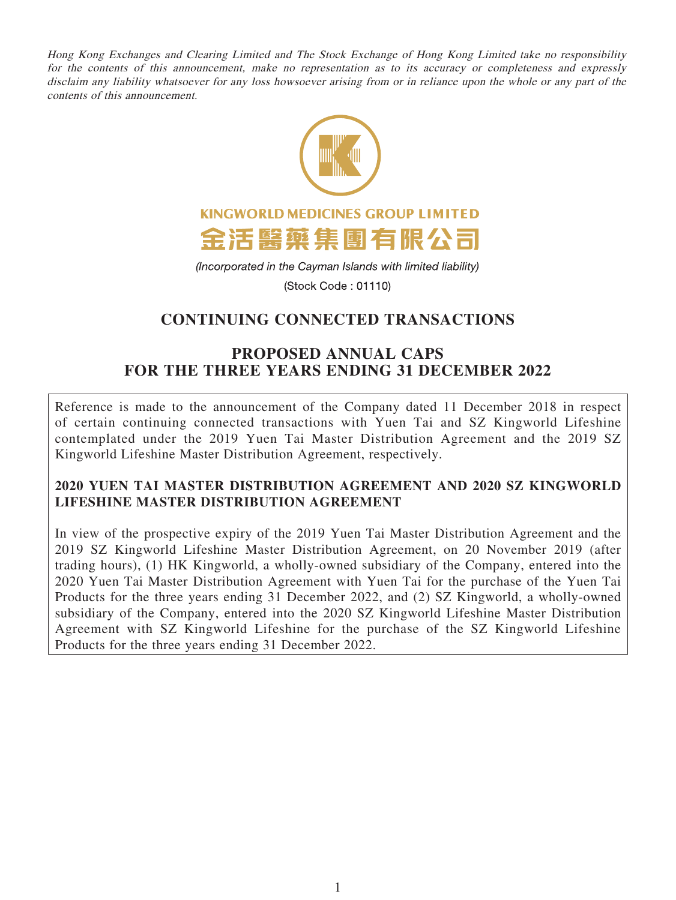Hong Kong Exchanges and Clearing Limited and The Stock Exchange of Hong Kong Limited take no responsibility for the contents of this announcement, make no representation as to its accuracy or completeness and expressly disclaim any liability whatsoever for any loss howsoever arising from or in reliance upon the whole or any part of the contents of this announcement.



(Incorporated in the Cayman Islands with limited liability)

(Stock Code: 01110)

# **CONTINUING CONNECTED TRANSACTIONS**

# **PROPOSED ANNUAL CAPS FOR THE THREE YEARS ENDING 31 DECEMBER 2022**

Reference is made to the announcement of the Company dated 11 December 2018 in respect of certain continuing connected transactions with Yuen Tai and SZ Kingworld Lifeshine contemplated under the 2019 Yuen Tai Master Distribution Agreement and the 2019 SZ Kingworld Lifeshine Master Distribution Agreement, respectively.

# **2020 YUEN TAI MASTER DISTRIBUTION AGREEMENT AND 2020 SZ KINGWORLD LIFESHINE MASTER DISTRIBUTION AGREEMENT**

In view of the prospective expiry of the 2019 Yuen Tai Master Distribution Agreement and the 2019 SZ Kingworld Lifeshine Master Distribution Agreement, on 20 November 2019 (after trading hours), (1) HK Kingworld, a wholly-owned subsidiary of the Company, entered into the 2020 Yuen Tai Master Distribution Agreement with Yuen Tai for the purchase of the Yuen Tai Products for the three years ending 31 December 2022, and (2) SZ Kingworld, a wholly-owned subsidiary of the Company, entered into the 2020 SZ Kingworld Lifeshine Master Distribution Agreement with SZ Kingworld Lifeshine for the purchase of the SZ Kingworld Lifeshine Products for the three years ending 31 December 2022.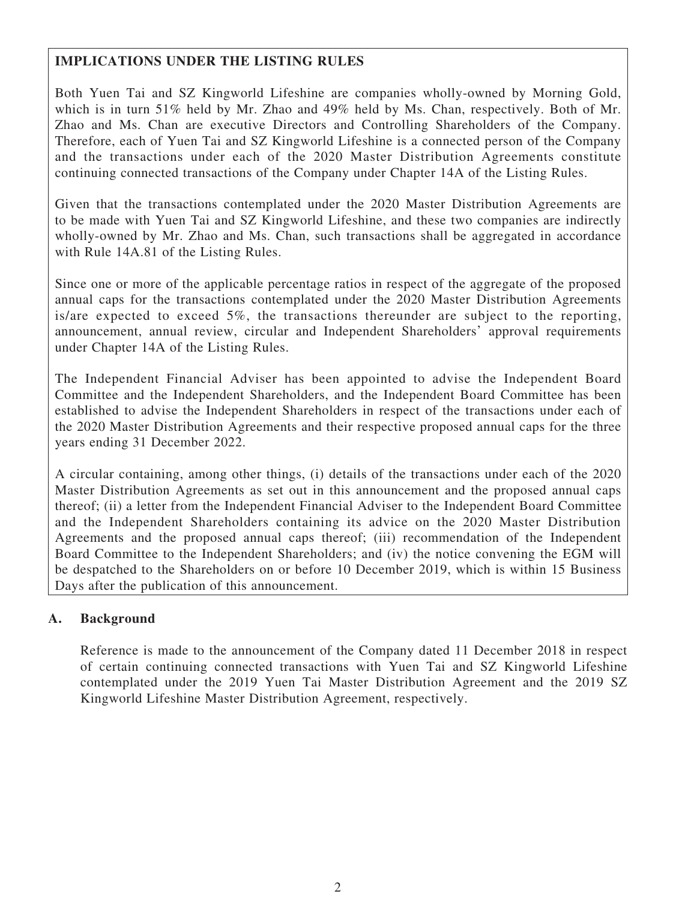# **IMPLICATIONS UNDER THE LISTING RULES**

Both Yuen Tai and SZ Kingworld Lifeshine are companies wholly-owned by Morning Gold, which is in turn 51% held by Mr. Zhao and 49% held by Ms. Chan, respectively. Both of Mr. Zhao and Ms. Chan are executive Directors and Controlling Shareholders of the Company. Therefore, each of Yuen Tai and SZ Kingworld Lifeshine is a connected person of the Company and the transactions under each of the 2020 Master Distribution Agreements constitute continuing connected transactions of the Company under Chapter 14A of the Listing Rules.

Given that the transactions contemplated under the 2020 Master Distribution Agreements are to be made with Yuen Tai and SZ Kingworld Lifeshine, and these two companies are indirectly wholly-owned by Mr. Zhao and Ms. Chan, such transactions shall be aggregated in accordance with Rule 14A.81 of the Listing Rules.

Since one or more of the applicable percentage ratios in respect of the aggregate of the proposed annual caps for the transactions contemplated under the 2020 Master Distribution Agreements is/are expected to exceed 5%, the transactions thereunder are subject to the reporting, announcement, annual review, circular and Independent Shareholders' approval requirements under Chapter 14A of the Listing Rules.

The Independent Financial Adviser has been appointed to advise the Independent Board Committee and the Independent Shareholders, and the Independent Board Committee has been established to advise the Independent Shareholders in respect of the transactions under each of the 2020 Master Distribution Agreements and their respective proposed annual caps for the three years ending 31 December 2022.

A circular containing, among other things, (i) details of the transactions under each of the 2020 Master Distribution Agreements as set out in this announcement and the proposed annual caps thereof; (ii) a letter from the Independent Financial Adviser to the Independent Board Committee and the Independent Shareholders containing its advice on the 2020 Master Distribution Agreements and the proposed annual caps thereof; (iii) recommendation of the Independent Board Committee to the Independent Shareholders; and (iv) the notice convening the EGM will be despatched to the Shareholders on or before 10 December 2019, which is within 15 Business Days after the publication of this announcement.

# **A. Background**

Reference is made to the announcement of the Company dated 11 December 2018 in respect of certain continuing connected transactions with Yuen Tai and SZ Kingworld Lifeshine contemplated under the 2019 Yuen Tai Master Distribution Agreement and the 2019 SZ Kingworld Lifeshine Master Distribution Agreement, respectively.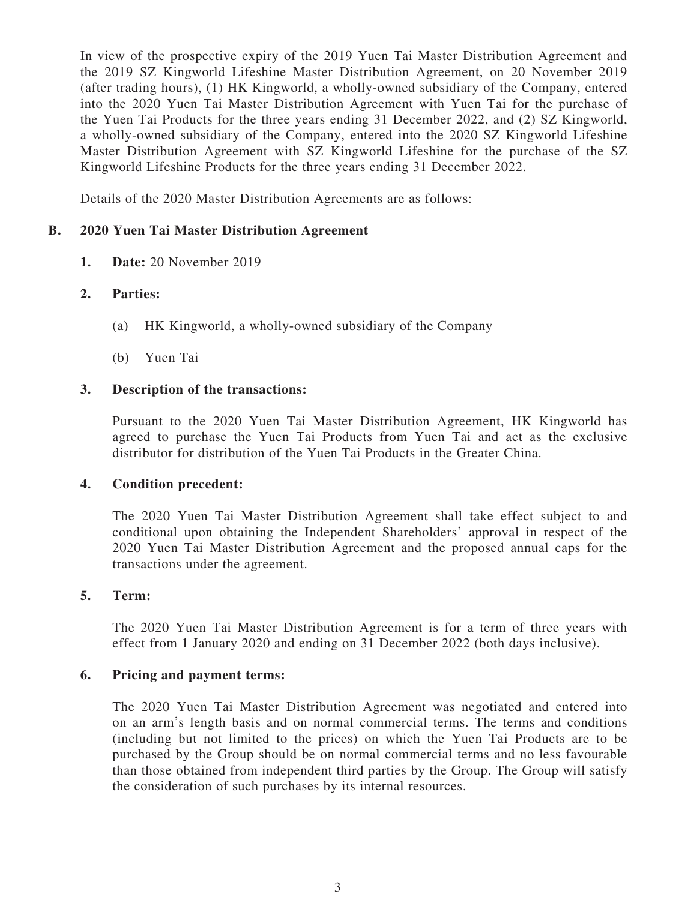In view of the prospective expiry of the 2019 Yuen Tai Master Distribution Agreement and the 2019 SZ Kingworld Lifeshine Master Distribution Agreement, on 20 November 2019 (after trading hours), (1) HK Kingworld, a wholly-owned subsidiary of the Company, entered into the 2020 Yuen Tai Master Distribution Agreement with Yuen Tai for the purchase of the Yuen Tai Products for the three years ending 31 December 2022, and (2) SZ Kingworld, a wholly-owned subsidiary of the Company, entered into the 2020 SZ Kingworld Lifeshine Master Distribution Agreement with SZ Kingworld Lifeshine for the purchase of the SZ Kingworld Lifeshine Products for the three years ending 31 December 2022.

Details of the 2020 Master Distribution Agreements are as follows:

# **B. 2020 Yuen Tai Master Distribution Agreement**

**1. Date:** 20 November 2019

# **2. Parties:**

- (a) HK Kingworld, a wholly-owned subsidiary of the Company
- (b) Yuen Tai

# **3. Description of the transactions:**

Pursuant to the 2020 Yuen Tai Master Distribution Agreement, HK Kingworld has agreed to purchase the Yuen Tai Products from Yuen Tai and act as the exclusive distributor for distribution of the Yuen Tai Products in the Greater China.

## **4. Condition precedent:**

The 2020 Yuen Tai Master Distribution Agreement shall take effect subject to and conditional upon obtaining the Independent Shareholders' approval in respect of the 2020 Yuen Tai Master Distribution Agreement and the proposed annual caps for the transactions under the agreement.

## **5. Term:**

The 2020 Yuen Tai Master Distribution Agreement is for a term of three years with effect from 1 January 2020 and ending on 31 December 2022 (both days inclusive).

## **6. Pricing and payment terms:**

The 2020 Yuen Tai Master Distribution Agreement was negotiated and entered into on an arm's length basis and on normal commercial terms. The terms and conditions (including but not limited to the prices) on which the Yuen Tai Products are to be purchased by the Group should be on normal commercial terms and no less favourable than those obtained from independent third parties by the Group. The Group will satisfy the consideration of such purchases by its internal resources.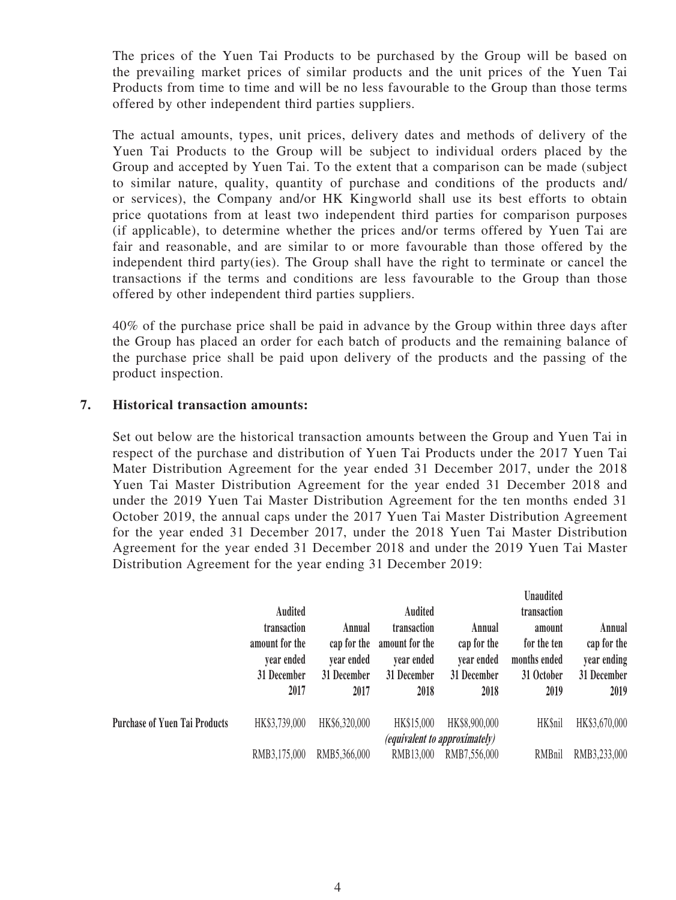The prices of the Yuen Tai Products to be purchased by the Group will be based on the prevailing market prices of similar products and the unit prices of the Yuen Tai Products from time to time and will be no less favourable to the Group than those terms offered by other independent third parties suppliers.

The actual amounts, types, unit prices, delivery dates and methods of delivery of the Yuen Tai Products to the Group will be subject to individual orders placed by the Group and accepted by Yuen Tai. To the extent that a comparison can be made (subject to similar nature, quality, quantity of purchase and conditions of the products and/ or services), the Company and/or HK Kingworld shall use its best efforts to obtain price quotations from at least two independent third parties for comparison purposes (if applicable), to determine whether the prices and/or terms offered by Yuen Tai are fair and reasonable, and are similar to or more favourable than those offered by the independent third party(ies). The Group shall have the right to terminate or cancel the transactions if the terms and conditions are less favourable to the Group than those offered by other independent third parties suppliers.

40% of the purchase price shall be paid in advance by the Group within three days after the Group has placed an order for each batch of products and the remaining balance of the purchase price shall be paid upon delivery of the products and the passing of the product inspection.

# **7. Historical transaction amounts:**

Set out below are the historical transaction amounts between the Group and Yuen Tai in respect of the purchase and distribution of Yuen Tai Products under the 2017 Yuen Tai Mater Distribution Agreement for the year ended 31 December 2017, under the 2018 Yuen Tai Master Distribution Agreement for the year ended 31 December 2018 and under the 2019 Yuen Tai Master Distribution Agreement for the ten months ended 31 October 2019, the annual caps under the 2017 Yuen Tai Master Distribution Agreement for the year ended 31 December 2017, under the 2018 Yuen Tai Master Distribution Agreement for the year ended 31 December 2018 and under the 2019 Yuen Tai Master Distribution Agreement for the year ending 31 December 2019:

 $\mathbf{r}$  and  $\mathbf{r}$ 

|                                      | <b>Audited</b>                                                     |                                                            | <b>Audited</b>                                                     |                                                            | Unaudited<br>transaction                                    |                                                             |
|--------------------------------------|--------------------------------------------------------------------|------------------------------------------------------------|--------------------------------------------------------------------|------------------------------------------------------------|-------------------------------------------------------------|-------------------------------------------------------------|
|                                      | transaction<br>amount for the<br>vear ended<br>31 December<br>2017 | Annual<br>cap for the<br>vear ended<br>31 December<br>2017 | transaction<br>amount for the<br>vear ended<br>31 December<br>2018 | Annual<br>cap for the<br>year ended<br>31 December<br>2018 | amount<br>for the ten<br>months ended<br>31 October<br>2019 | Annual<br>cap for the<br>year ending<br>31 December<br>2019 |
| <b>Purchase of Yuen Tai Products</b> | HK\$3,739,000                                                      | HK\$6,320,000                                              | HK\$15,000                                                         | HK\$8,900,000                                              | <b>HK</b> \$nil                                             | HK\$3,670,000                                               |
|                                      | RMB3,175,000                                                       | RMB5,366,000                                               | RMB13,000                                                          | <i>(equivalent to approximately)</i><br>RMB7,556,000       | RMBnil                                                      | RMB3,233,000                                                |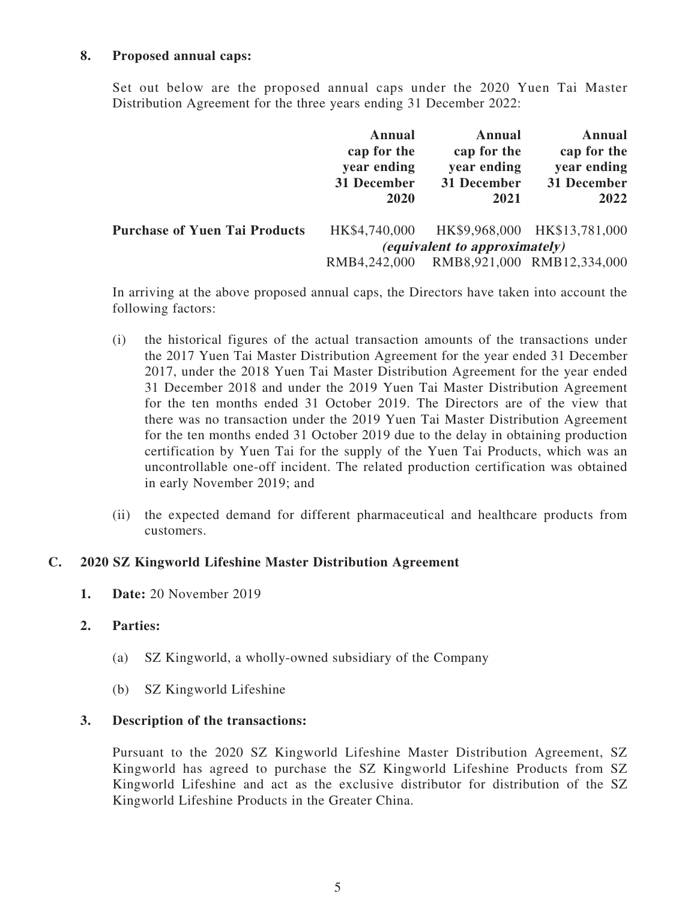# **8. Proposed annual caps:**

Set out below are the proposed annual caps under the 2020 Yuen Tai Master Distribution Agreement for the three years ending 31 December 2022:

|                                      | Annual<br>cap for the<br>year ending<br>31 December<br>2020 | Annual<br>cap for the<br>year ending<br>31 December<br>2021 | <b>Annual</b><br>cap for the<br>year ending<br>31 December<br>2022 |
|--------------------------------------|-------------------------------------------------------------|-------------------------------------------------------------|--------------------------------------------------------------------|
| <b>Purchase of Yuen Tai Products</b> | HK\$4,740,000                                               |                                                             | HK\$9,968,000 HK\$13,781,000                                       |
|                                      |                                                             | <i>(equivalent to approximately)</i>                        |                                                                    |
|                                      | RMB4,242,000                                                |                                                             | RMB8,921,000 RMB12,334,000                                         |

In arriving at the above proposed annual caps, the Directors have taken into account the following factors:

- (i) the historical figures of the actual transaction amounts of the transactions under the 2017 Yuen Tai Master Distribution Agreement for the year ended 31 December 2017, under the 2018 Yuen Tai Master Distribution Agreement for the year ended 31 December 2018 and under the 2019 Yuen Tai Master Distribution Agreement for the ten months ended 31 October 2019. The Directors are of the view that there was no transaction under the 2019 Yuen Tai Master Distribution Agreement for the ten months ended 31 October 2019 due to the delay in obtaining production certification by Yuen Tai for the supply of the Yuen Tai Products, which was an uncontrollable one-off incident. The related production certification was obtained in early November 2019; and
- (ii) the expected demand for different pharmaceutical and healthcare products from customers.

## **C. 2020 SZ Kingworld Lifeshine Master Distribution Agreement**

**1. Date:** 20 November 2019

## **2. Parties:**

- (a) SZ Kingworld, a wholly-owned subsidiary of the Company
- (b) SZ Kingworld Lifeshine

# **3. Description of the transactions:**

Pursuant to the 2020 SZ Kingworld Lifeshine Master Distribution Agreement, SZ Kingworld has agreed to purchase the SZ Kingworld Lifeshine Products from SZ Kingworld Lifeshine and act as the exclusive distributor for distribution of the SZ Kingworld Lifeshine Products in the Greater China.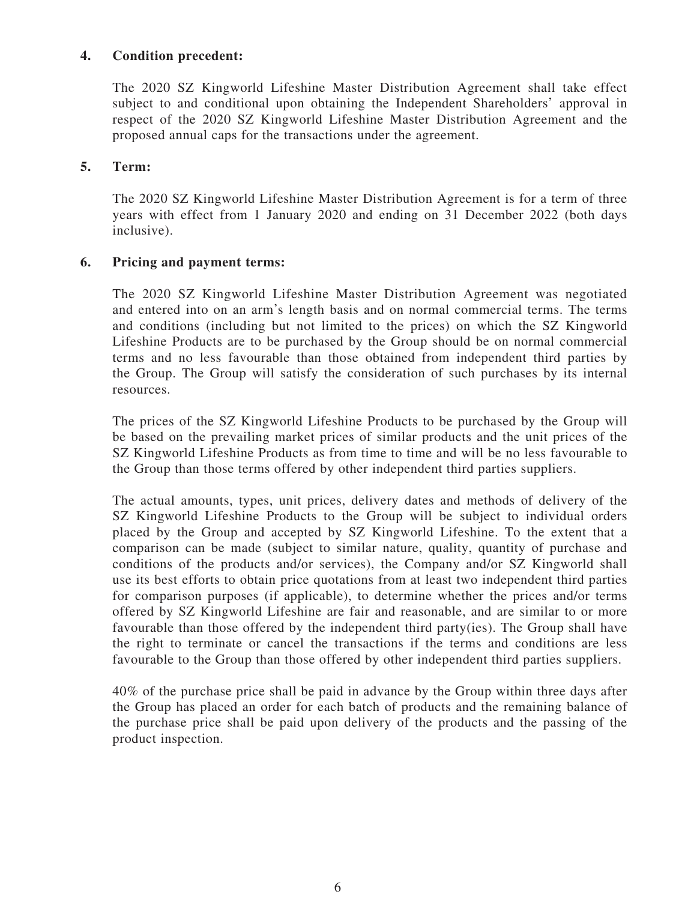# **4. Condition precedent:**

The 2020 SZ Kingworld Lifeshine Master Distribution Agreement shall take effect subject to and conditional upon obtaining the Independent Shareholders' approval in respect of the 2020 SZ Kingworld Lifeshine Master Distribution Agreement and the proposed annual caps for the transactions under the agreement.

# **5. Term:**

The 2020 SZ Kingworld Lifeshine Master Distribution Agreement is for a term of three years with effect from 1 January 2020 and ending on 31 December 2022 (both days inclusive).

# **6. Pricing and payment terms:**

The 2020 SZ Kingworld Lifeshine Master Distribution Agreement was negotiated and entered into on an arm's length basis and on normal commercial terms. The terms and conditions (including but not limited to the prices) on which the SZ Kingworld Lifeshine Products are to be purchased by the Group should be on normal commercial terms and no less favourable than those obtained from independent third parties by the Group. The Group will satisfy the consideration of such purchases by its internal resources.

The prices of the SZ Kingworld Lifeshine Products to be purchased by the Group will be based on the prevailing market prices of similar products and the unit prices of the SZ Kingworld Lifeshine Products as from time to time and will be no less favourable to the Group than those terms offered by other independent third parties suppliers.

The actual amounts, types, unit prices, delivery dates and methods of delivery of the SZ Kingworld Lifeshine Products to the Group will be subject to individual orders placed by the Group and accepted by SZ Kingworld Lifeshine. To the extent that a comparison can be made (subject to similar nature, quality, quantity of purchase and conditions of the products and/or services), the Company and/or SZ Kingworld shall use its best efforts to obtain price quotations from at least two independent third parties for comparison purposes (if applicable), to determine whether the prices and/or terms offered by SZ Kingworld Lifeshine are fair and reasonable, and are similar to or more favourable than those offered by the independent third party(ies). The Group shall have the right to terminate or cancel the transactions if the terms and conditions are less favourable to the Group than those offered by other independent third parties suppliers.

40% of the purchase price shall be paid in advance by the Group within three days after the Group has placed an order for each batch of products and the remaining balance of the purchase price shall be paid upon delivery of the products and the passing of the product inspection.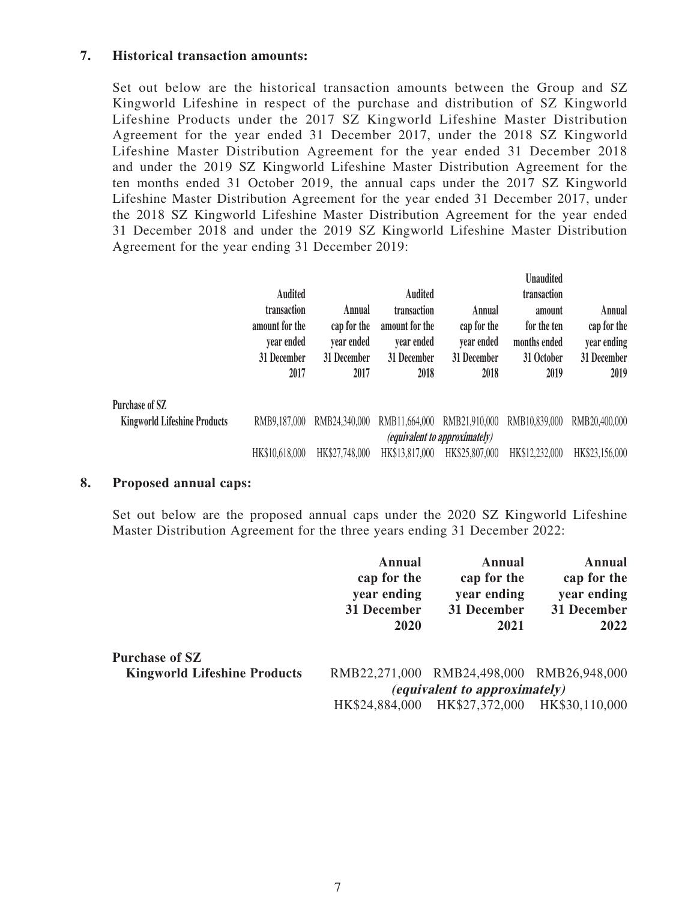## **7. Historical transaction amounts:**

Set out below are the historical transaction amounts between the Group and SZ Kingworld Lifeshine in respect of the purchase and distribution of SZ Kingworld Lifeshine Products under the 2017 SZ Kingworld Lifeshine Master Distribution Agreement for the year ended 31 December 2017, under the 2018 SZ Kingworld Lifeshine Master Distribution Agreement for the year ended 31 December 2018 and under the 2019 SZ Kingworld Lifeshine Master Distribution Agreement for the ten months ended 31 October 2019, the annual caps under the 2017 SZ Kingworld Lifeshine Master Distribution Agreement for the year ended 31 December 2017, under the 2018 SZ Kingworld Lifeshine Master Distribution Agreement for the year ended 31 December 2018 and under the 2019 SZ Kingworld Lifeshine Master Distribution Agreement for the year ending 31 December 2019:

|                                     | <b>Audited</b><br>transaction<br>amount for the<br>year ended<br>31 December<br>2017 | Annual<br>cap for the<br>vear ended<br>31 December<br>2017 | <b>Audited</b><br>transaction<br>amount for the<br>vear ended<br>31 December<br>2018 | Annual<br>cap for the<br>year ended<br>31 December<br>2018 | <b>Unaudited</b><br>transaction<br>amount<br>for the ten<br>months ended<br>31 October<br>2019 | Annual<br>cap for the<br>year ending<br>31 December<br>2019 |
|-------------------------------------|--------------------------------------------------------------------------------------|------------------------------------------------------------|--------------------------------------------------------------------------------------|------------------------------------------------------------|------------------------------------------------------------------------------------------------|-------------------------------------------------------------|
| Purchase of SZ                      |                                                                                      |                                                            |                                                                                      |                                                            |                                                                                                |                                                             |
| <b>Kingworld Lifeshine Products</b> | RMB9,187,000                                                                         | RMB24,340,000                                              | RMB11,664,000                                                                        | RMB21,910,000                                              | RMB10,839,000                                                                                  | RMB20,400,000                                               |
|                                     |                                                                                      |                                                            |                                                                                      | <i>(equivalent to approximately)</i>                       |                                                                                                |                                                             |
|                                     | HK\$10,618,000                                                                       | HK\$27,748,000                                             | HK\$13,817,000                                                                       | HK\$25,807,000                                             | HK\$12,232,000                                                                                 | HK\$23,156,000                                              |

#### **8. Proposed annual caps:**

Set out below are the proposed annual caps under the 2020 SZ Kingworld Lifeshine Master Distribution Agreement for the three years ending 31 December 2022:

|                                     | <b>Annual</b><br>cap for the<br>year ending<br>31 December<br>2020 | <b>Annual</b><br>cap for the<br>year ending<br>31 December<br>2021 | Annual<br>cap for the<br>year ending<br>31 December<br>2022 |
|-------------------------------------|--------------------------------------------------------------------|--------------------------------------------------------------------|-------------------------------------------------------------|
| <b>Purchase of SZ</b>               |                                                                    |                                                                    |                                                             |
| <b>Kingworld Lifeshine Products</b> |                                                                    | RMB22,271,000 RMB24,498,000 RMB26,948,000                          |                                                             |
|                                     | <i>(equivalent to approximately)</i>                               |                                                                    |                                                             |
|                                     | HK\$24,884,000                                                     | HK\$27,372,000                                                     | HK\$30,110,000                                              |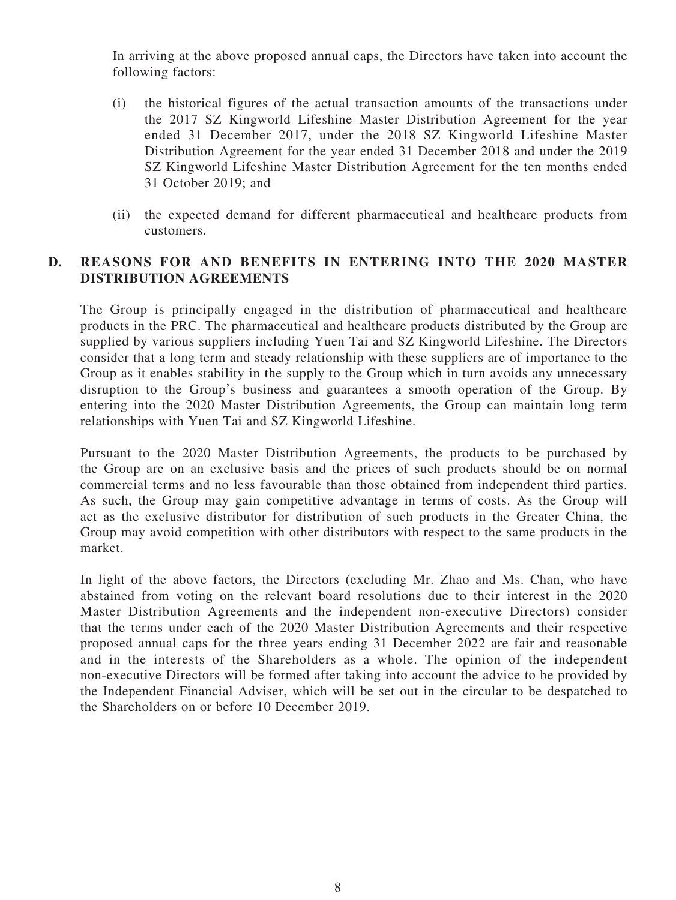In arriving at the above proposed annual caps, the Directors have taken into account the following factors:

- (i) the historical figures of the actual transaction amounts of the transactions under the 2017 SZ Kingworld Lifeshine Master Distribution Agreement for the year ended 31 December 2017, under the 2018 SZ Kingworld Lifeshine Master Distribution Agreement for the year ended 31 December 2018 and under the 2019 SZ Kingworld Lifeshine Master Distribution Agreement for the ten months ended 31 October 2019; and
- (ii) the expected demand for different pharmaceutical and healthcare products from customers.

# **D. REASONS FOR AND BENEFITS IN ENTERING INTO THE 2020 MASTER DISTRIBUTION AGREEMENTS**

The Group is principally engaged in the distribution of pharmaceutical and healthcare products in the PRC. The pharmaceutical and healthcare products distributed by the Group are supplied by various suppliers including Yuen Tai and SZ Kingworld Lifeshine. The Directors consider that a long term and steady relationship with these suppliers are of importance to the Group as it enables stability in the supply to the Group which in turn avoids any unnecessary disruption to the Group's business and guarantees a smooth operation of the Group. By entering into the 2020 Master Distribution Agreements, the Group can maintain long term relationships with Yuen Tai and SZ Kingworld Lifeshine.

Pursuant to the 2020 Master Distribution Agreements, the products to be purchased by the Group are on an exclusive basis and the prices of such products should be on normal commercial terms and no less favourable than those obtained from independent third parties. As such, the Group may gain competitive advantage in terms of costs. As the Group will act as the exclusive distributor for distribution of such products in the Greater China, the Group may avoid competition with other distributors with respect to the same products in the market.

In light of the above factors, the Directors (excluding Mr. Zhao and Ms. Chan, who have abstained from voting on the relevant board resolutions due to their interest in the 2020 Master Distribution Agreements and the independent non-executive Directors) consider that the terms under each of the 2020 Master Distribution Agreements and their respective proposed annual caps for the three years ending 31 December 2022 are fair and reasonable and in the interests of the Shareholders as a whole. The opinion of the independent non-executive Directors will be formed after taking into account the advice to be provided by the Independent Financial Adviser, which will be set out in the circular to be despatched to the Shareholders on or before 10 December 2019.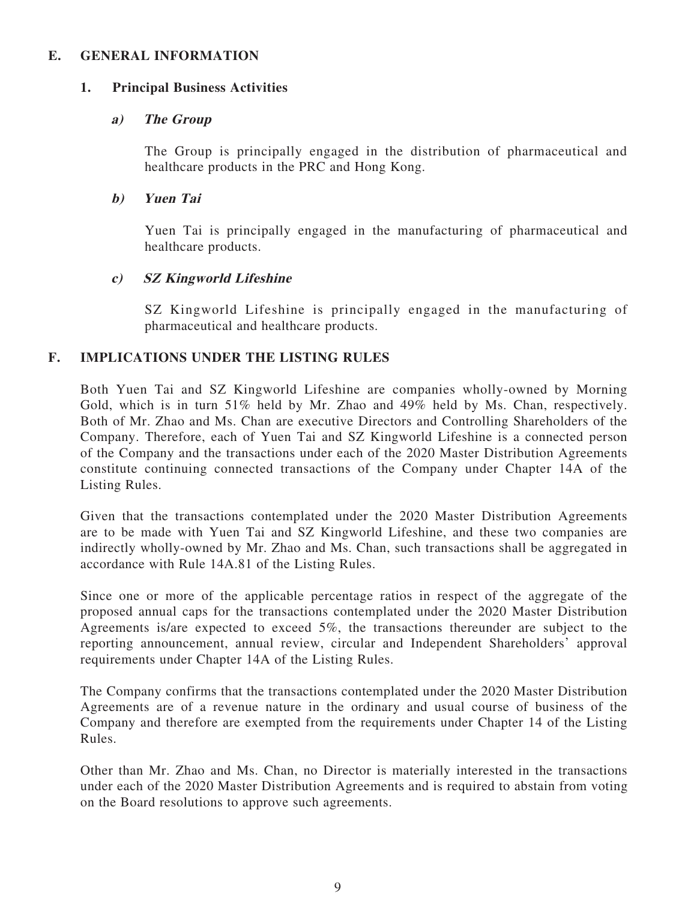## **E. GENERAL INFORMATION**

#### **1. Principal Business Activities**

#### **a) The Group**

The Group is principally engaged in the distribution of pharmaceutical and healthcare products in the PRC and Hong Kong.

#### **b) Yuen Tai**

Yuen Tai is principally engaged in the manufacturing of pharmaceutical and healthcare products.

## **c) SZ Kingworld Lifeshine**

SZ Kingworld Lifeshine is principally engaged in the manufacturing of pharmaceutical and healthcare products.

## **F. IMPLICATIONS UNDER THE LISTING RULES**

Both Yuen Tai and SZ Kingworld Lifeshine are companies wholly-owned by Morning Gold, which is in turn 51% held by Mr. Zhao and 49% held by Ms. Chan, respectively. Both of Mr. Zhao and Ms. Chan are executive Directors and Controlling Shareholders of the Company. Therefore, each of Yuen Tai and SZ Kingworld Lifeshine is a connected person of the Company and the transactions under each of the 2020 Master Distribution Agreements constitute continuing connected transactions of the Company under Chapter 14A of the Listing Rules.

Given that the transactions contemplated under the 2020 Master Distribution Agreements are to be made with Yuen Tai and SZ Kingworld Lifeshine, and these two companies are indirectly wholly-owned by Mr. Zhao and Ms. Chan, such transactions shall be aggregated in accordance with Rule 14A.81 of the Listing Rules.

Since one or more of the applicable percentage ratios in respect of the aggregate of the proposed annual caps for the transactions contemplated under the 2020 Master Distribution Agreements is/are expected to exceed 5%, the transactions thereunder are subject to the reporting announcement, annual review, circular and Independent Shareholders' approval requirements under Chapter 14A of the Listing Rules.

The Company confirms that the transactions contemplated under the 2020 Master Distribution Agreements are of a revenue nature in the ordinary and usual course of business of the Company and therefore are exempted from the requirements under Chapter 14 of the Listing Rules.

Other than Mr. Zhao and Ms. Chan, no Director is materially interested in the transactions under each of the 2020 Master Distribution Agreements and is required to abstain from voting on the Board resolutions to approve such agreements.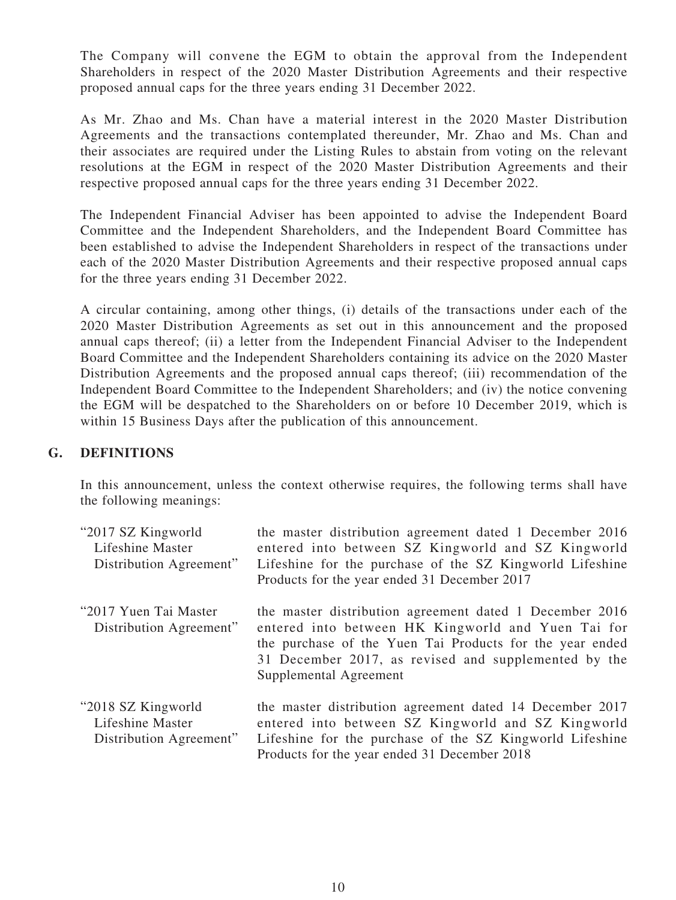The Company will convene the EGM to obtain the approval from the Independent Shareholders in respect of the 2020 Master Distribution Agreements and their respective proposed annual caps for the three years ending 31 December 2022.

As Mr. Zhao and Ms. Chan have a material interest in the 2020 Master Distribution Agreements and the transactions contemplated thereunder, Mr. Zhao and Ms. Chan and their associates are required under the Listing Rules to abstain from voting on the relevant resolutions at the EGM in respect of the 2020 Master Distribution Agreements and their respective proposed annual caps for the three years ending 31 December 2022.

The Independent Financial Adviser has been appointed to advise the Independent Board Committee and the Independent Shareholders, and the Independent Board Committee has been established to advise the Independent Shareholders in respect of the transactions under each of the 2020 Master Distribution Agreements and their respective proposed annual caps for the three years ending 31 December 2022.

A circular containing, among other things, (i) details of the transactions under each of the 2020 Master Distribution Agreements as set out in this announcement and the proposed annual caps thereof; (ii) a letter from the Independent Financial Adviser to the Independent Board Committee and the Independent Shareholders containing its advice on the 2020 Master Distribution Agreements and the proposed annual caps thereof; (iii) recommendation of the Independent Board Committee to the Independent Shareholders; and (iv) the notice convening the EGM will be despatched to the Shareholders on or before 10 December 2019, which is within 15 Business Days after the publication of this announcement.

## **G. DEFINITIONS**

In this announcement, unless the context otherwise requires, the following terms shall have the following meanings:

| "2017 SZ Kingworld<br>Lifeshine Master<br>Distribution Agreement"  | the master distribution agreement dated 1 December 2016<br>entered into between SZ Kingworld and SZ Kingworld<br>Lifeshine for the purchase of the SZ Kingworld Lifeshine<br>Products for the year ended 31 December 2017                                   |
|--------------------------------------------------------------------|-------------------------------------------------------------------------------------------------------------------------------------------------------------------------------------------------------------------------------------------------------------|
| "2017 Yuen Tai Master"<br>Distribution Agreement"                  | the master distribution agreement dated 1 December 2016<br>entered into between HK Kingworld and Yuen Tai for<br>the purchase of the Yuen Tai Products for the year ended<br>31 December 2017, as revised and supplemented by the<br>Supplemental Agreement |
| "2018 SZ Kingworld"<br>Lifeshine Master<br>Distribution Agreement" | the master distribution agreement dated 14 December 2017<br>entered into between SZ Kingworld and SZ Kingworld<br>Lifeshine for the purchase of the SZ Kingworld Lifeshine<br>Products for the year ended 31 December 2018                                  |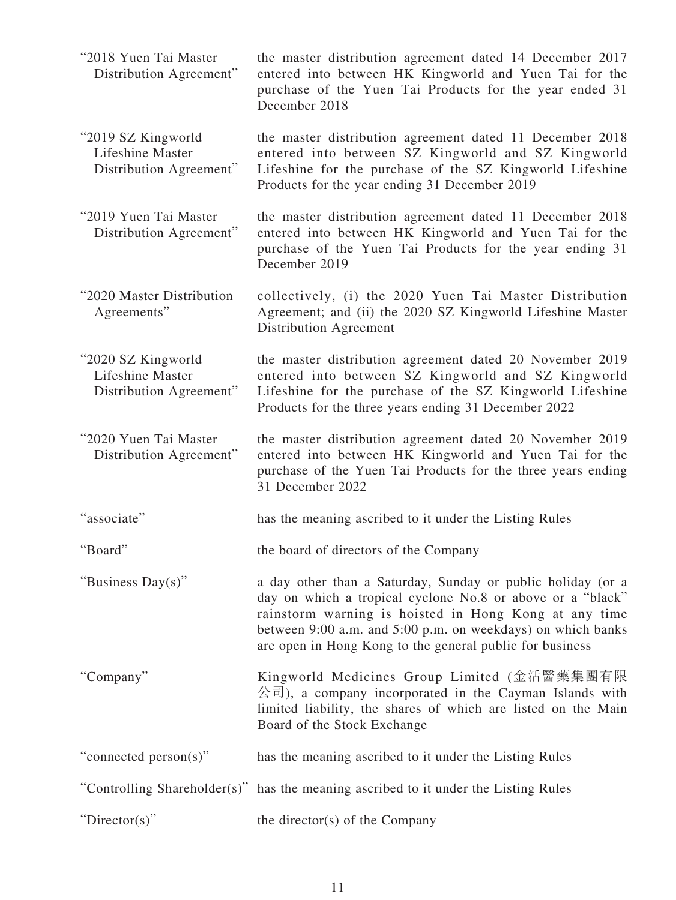| "2018 Yuen Tai Master<br>Distribution Agreement"                   | the master distribution agreement dated 14 December 2017<br>entered into between HK Kingworld and Yuen Tai for the<br>purchase of the Yuen Tai Products for the year ended 31<br>December 2018                                                                                                                |
|--------------------------------------------------------------------|---------------------------------------------------------------------------------------------------------------------------------------------------------------------------------------------------------------------------------------------------------------------------------------------------------------|
| "2019 SZ Kingworld"<br>Lifeshine Master<br>Distribution Agreement" | the master distribution agreement dated 11 December 2018<br>entered into between SZ Kingworld and SZ Kingworld<br>Lifeshine for the purchase of the SZ Kingworld Lifeshine<br>Products for the year ending 31 December 2019                                                                                   |
| "2019 Yuen Tai Master"<br>Distribution Agreement"                  | the master distribution agreement dated 11 December 2018<br>entered into between HK Kingworld and Yuen Tai for the<br>purchase of the Yuen Tai Products for the year ending 31<br>December 2019                                                                                                               |
| "2020 Master Distribution<br>Agreements"                           | collectively, (i) the 2020 Yuen Tai Master Distribution<br>Agreement; and (ii) the 2020 SZ Kingworld Lifeshine Master<br>Distribution Agreement                                                                                                                                                               |
| "2020 SZ Kingworld<br>Lifeshine Master<br>Distribution Agreement"  | the master distribution agreement dated 20 November 2019<br>entered into between SZ Kingworld and SZ Kingworld<br>Lifeshine for the purchase of the SZ Kingworld Lifeshine<br>Products for the three years ending 31 December 2022                                                                            |
| "2020 Yuen Tai Master<br>Distribution Agreement"                   | the master distribution agreement dated 20 November 2019<br>entered into between HK Kingworld and Yuen Tai for the<br>purchase of the Yuen Tai Products for the three years ending<br>31 December 2022                                                                                                        |
| "associate"                                                        | has the meaning ascribed to it under the Listing Rules                                                                                                                                                                                                                                                        |
| "Board"                                                            | the board of directors of the Company                                                                                                                                                                                                                                                                         |
| "Business Day(s)"                                                  | a day other than a Saturday, Sunday or public holiday (or a<br>day on which a tropical cyclone No.8 or above or a "black"<br>rainstorm warning is hoisted in Hong Kong at any time<br>between 9:00 a.m. and 5:00 p.m. on weekdays) on which banks<br>are open in Hong Kong to the general public for business |
| "Company"                                                          | Kingworld Medicines Group Limited (金活醫藥集團有限<br>公司), a company incorporated in the Cayman Islands with<br>limited liability, the shares of which are listed on the Main<br>Board of the Stock Exchange                                                                                                         |
| "connected person(s)"                                              | has the meaning ascribed to it under the Listing Rules                                                                                                                                                                                                                                                        |
|                                                                    | "Controlling Shareholder(s)" has the meaning ascribed to it under the Listing Rules                                                                                                                                                                                                                           |
| "Director(s)"                                                      | the director(s) of the Company                                                                                                                                                                                                                                                                                |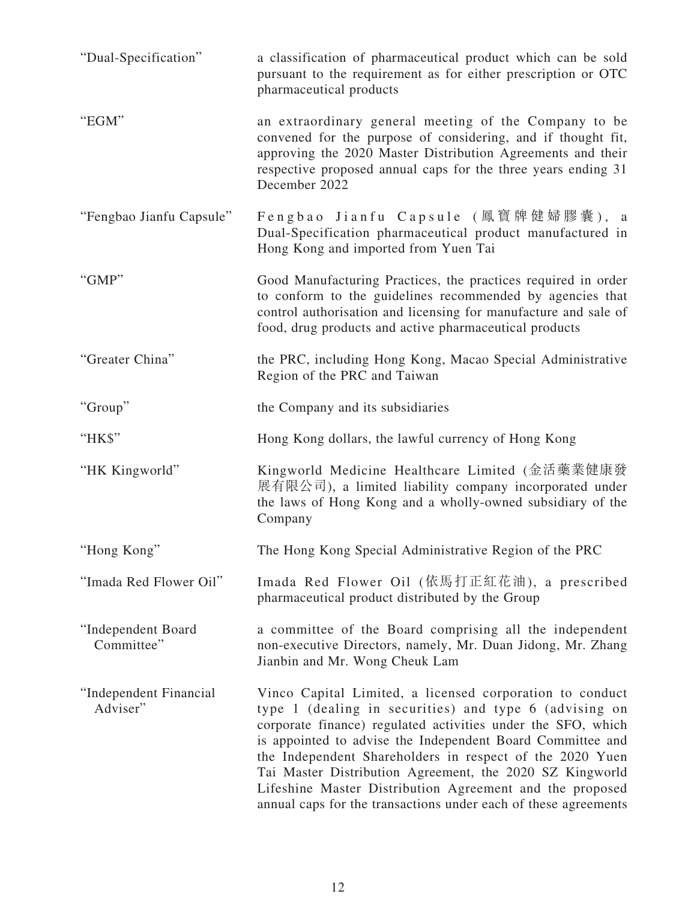| "Dual-Specification"               | a classification of pharmaceutical product which can be sold<br>pursuant to the requirement as for either prescription or OTC<br>pharmaceutical products                                                                                                                                                                                                                                                                                                                                                |
|------------------------------------|---------------------------------------------------------------------------------------------------------------------------------------------------------------------------------------------------------------------------------------------------------------------------------------------------------------------------------------------------------------------------------------------------------------------------------------------------------------------------------------------------------|
| "EGM"                              | an extraordinary general meeting of the Company to be<br>convened for the purpose of considering, and if thought fit,<br>approving the 2020 Master Distribution Agreements and their<br>respective proposed annual caps for the three years ending 31<br>December 2022                                                                                                                                                                                                                                  |
| "Fengbao Jianfu Capsule"           | Fengbao Jianfu Capsule (鳳寶牌健婦膠囊), a<br>Dual-Specification pharmaceutical product manufactured in<br>Hong Kong and imported from Yuen Tai                                                                                                                                                                                                                                                                                                                                                                |
| "GMP"                              | Good Manufacturing Practices, the practices required in order<br>to conform to the guidelines recommended by agencies that<br>control authorisation and licensing for manufacture and sale of<br>food, drug products and active pharmaceutical products                                                                                                                                                                                                                                                 |
| "Greater China"                    | the PRC, including Hong Kong, Macao Special Administrative<br>Region of the PRC and Taiwan                                                                                                                                                                                                                                                                                                                                                                                                              |
| "Group"                            | the Company and its subsidiaries                                                                                                                                                                                                                                                                                                                                                                                                                                                                        |
| "HK\$"                             | Hong Kong dollars, the lawful currency of Hong Kong                                                                                                                                                                                                                                                                                                                                                                                                                                                     |
| "HK Kingworld"                     | Kingworld Medicine Healthcare Limited (金活藥業健康發<br>展有限公司), a limited liability company incorporated under<br>the laws of Hong Kong and a wholly-owned subsidiary of the<br>Company                                                                                                                                                                                                                                                                                                                       |
| "Hong Kong"                        | The Hong Kong Special Administrative Region of the PRC                                                                                                                                                                                                                                                                                                                                                                                                                                                  |
| "Imada Red Flower Oil"             | Imada Red Flower Oil (依馬打正紅花油), a prescribed<br>pharmaceutical product distributed by the Group                                                                                                                                                                                                                                                                                                                                                                                                         |
| "Independent Board<br>Committee"   | a committee of the Board comprising all the independent<br>non-executive Directors, namely, Mr. Duan Jidong, Mr. Zhang<br>Jianbin and Mr. Wong Cheuk Lam                                                                                                                                                                                                                                                                                                                                                |
| "Independent Financial<br>Adviser" | Vinco Capital Limited, a licensed corporation to conduct<br>type 1 (dealing in securities) and type 6 (advising on<br>corporate finance) regulated activities under the SFO, which<br>is appointed to advise the Independent Board Committee and<br>the Independent Shareholders in respect of the 2020 Yuen<br>Tai Master Distribution Agreement, the 2020 SZ Kingworld<br>Lifeshine Master Distribution Agreement and the proposed<br>annual caps for the transactions under each of these agreements |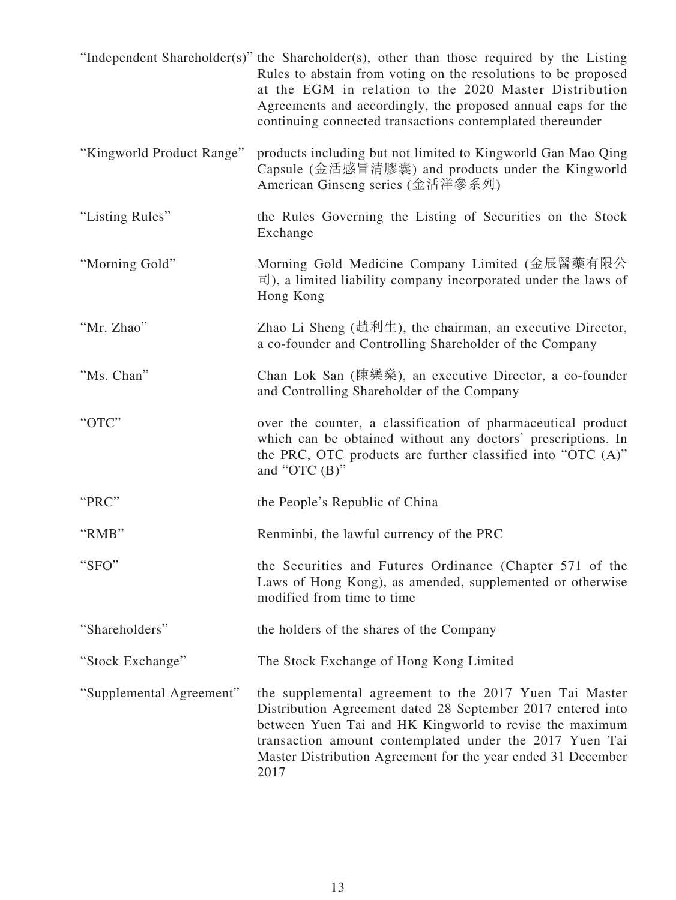|                           | "Independent Shareholder(s)" the Shareholder(s), other than those required by the Listing<br>Rules to abstain from voting on the resolutions to be proposed<br>at the EGM in relation to the 2020 Master Distribution<br>Agreements and accordingly, the proposed annual caps for the<br>continuing connected transactions contemplated thereunder |
|---------------------------|----------------------------------------------------------------------------------------------------------------------------------------------------------------------------------------------------------------------------------------------------------------------------------------------------------------------------------------------------|
| "Kingworld Product Range" | products including but not limited to Kingworld Gan Mao Qing<br>Capsule (金活感冒清膠囊) and products under the Kingworld<br>American Ginseng series (金活洋參系列)                                                                                                                                                                                             |
| "Listing Rules"           | the Rules Governing the Listing of Securities on the Stock<br>Exchange                                                                                                                                                                                                                                                                             |
| "Morning Gold"            | Morning Gold Medicine Company Limited (金辰醫藥有限公<br>$\overline{\overline{r}}$ ), a limited liability company incorporated under the laws of<br>Hong Kong                                                                                                                                                                                             |
| "Mr. Zhao"                | Zhao Li Sheng (趙利生), the chairman, an executive Director,<br>a co-founder and Controlling Shareholder of the Company                                                                                                                                                                                                                               |
| "Ms. Chan"                | Chan Lok San (陳樂藥), an executive Director, a co-founder<br>and Controlling Shareholder of the Company                                                                                                                                                                                                                                              |
| "OTC"                     | over the counter, a classification of pharmaceutical product<br>which can be obtained without any doctors' prescriptions. In<br>the PRC, OTC products are further classified into "OTC (A)"<br>and "OTC $(B)$ "                                                                                                                                    |
| "PRC"                     | the People's Republic of China                                                                                                                                                                                                                                                                                                                     |
| "RMB"                     | Renminbi, the lawful currency of the PRC                                                                                                                                                                                                                                                                                                           |
| "SFO"                     | the Securities and Futures Ordinance (Chapter 571 of the<br>Laws of Hong Kong), as amended, supplemented or otherwise<br>modified from time to time                                                                                                                                                                                                |
| "Shareholders"            | the holders of the shares of the Company                                                                                                                                                                                                                                                                                                           |
| "Stock Exchange"          | The Stock Exchange of Hong Kong Limited                                                                                                                                                                                                                                                                                                            |
| "Supplemental Agreement"  | the supplemental agreement to the 2017 Yuen Tai Master<br>Distribution Agreement dated 28 September 2017 entered into<br>between Yuen Tai and HK Kingworld to revise the maximum<br>transaction amount contemplated under the 2017 Yuen Tai<br>Master Distribution Agreement for the year ended 31 December<br>2017                                |